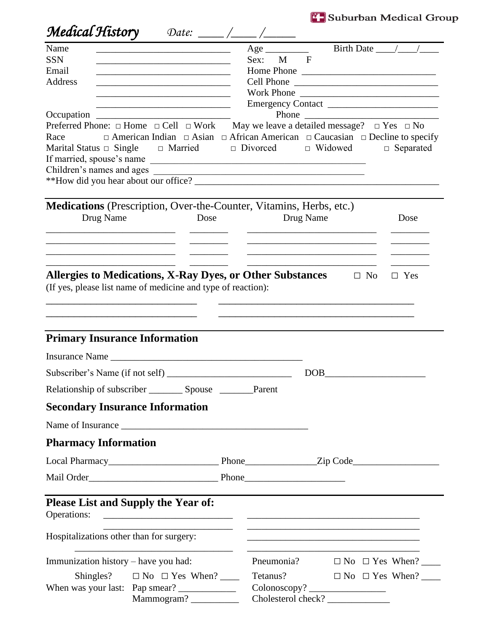<sup>7</sup> Suburban Medical Group

| Medical History                                             | Date: $\frac{1}{\sqrt{1-\frac{1}{1-\frac{1}{1-\frac{1}{1-\frac{1}{1-\frac{1}{1-\frac{1}{1-\frac{1}{1-\frac{1}{1-\frac{1}{1-\frac{1}{1-\frac{1}{1-\frac{1}{1-\frac{1}{1-\frac{1}{1-\frac{1}{1-\frac{1}{1-\frac{1}{1-\frac{1}{1-\frac{1}{1-\frac{1}{1-\frac{1}{1-\frac{1}{1-\frac{1}{1-\frac{1}{1-\frac{1}{1-\frac{1}{1-\frac{1}{1-\frac{1}{1-\frac{1}{1-\frac{1}{1-\frac{1}{1-\frac{1}{1-\frac{1}{1-\frac{1}{1-\$ |                                                                                                                      |              |                                           |
|-------------------------------------------------------------|------------------------------------------------------------------------------------------------------------------------------------------------------------------------------------------------------------------------------------------------------------------------------------------------------------------------------------------------------------------------------------------------------------------|----------------------------------------------------------------------------------------------------------------------|--------------|-------------------------------------------|
| Name<br><b>SSN</b><br>Email<br><b>Address</b><br>Occupation | <u> 1980 - Johann John Stone, mars et al. (b. 1980)</u><br><u> 1989 - Johann Barbara, margaret eta idazlea (h. 1989).</u><br><u> 1989 - Johann Barn, mars eta bainar eta bainar eta baina eta baina eta baina eta baina eta baina eta baina e</u>                                                                                                                                                                | Sex:<br>M<br>Cell Phone                                                                                              | $\mathbf{F}$ | Birth Date $\_\_\_\_\_\_\_\_\_\$<br>Phone |
| Race                                                        | Preferred Phone: $\Box$ Home $\Box$ Cell $\Box$ Work May we leave a detailed message? $\Box$ Yes $\Box$ No<br>$\Box$ American Indian $\Box$ Asian $\Box$ African American $\Box$ Caucasian $\Box$ Decline to specify<br>Marital Status $\Box$ Single $\Box$ Married $\Box$ Divorced $\Box$ Widowed<br>If married, spouse's name                                                                                  |                                                                                                                      |              | $\Box$ Separated                          |
| Drug Name                                                   | Medications (Prescription, Over-the-Counter, Vitamins, Herbs, etc.)<br>Dose                                                                                                                                                                                                                                                                                                                                      |                                                                                                                      | Drug Name    | Dose                                      |
|                                                             | Allergies to Medications, X-Ray Dyes, or Other Substances $\Box$ No<br>(If yes, please list name of medicine and type of reaction):                                                                                                                                                                                                                                                                              |                                                                                                                      |              | $\Box$ Yes                                |
| <b>Primary Insurance Information</b>                        |                                                                                                                                                                                                                                                                                                                                                                                                                  |                                                                                                                      |              |                                           |
|                                                             | Insurance Name                                                                                                                                                                                                                                                                                                                                                                                                   |                                                                                                                      |              |                                           |
|                                                             |                                                                                                                                                                                                                                                                                                                                                                                                                  |                                                                                                                      | DOB          |                                           |
|                                                             | Relationship of subscriber __________ Spouse __________Parent                                                                                                                                                                                                                                                                                                                                                    |                                                                                                                      |              |                                           |
| <b>Secondary Insurance Information</b>                      |                                                                                                                                                                                                                                                                                                                                                                                                                  |                                                                                                                      |              |                                           |
|                                                             |                                                                                                                                                                                                                                                                                                                                                                                                                  |                                                                                                                      |              |                                           |
| <b>Pharmacy Information</b>                                 |                                                                                                                                                                                                                                                                                                                                                                                                                  |                                                                                                                      |              |                                           |
|                                                             |                                                                                                                                                                                                                                                                                                                                                                                                                  |                                                                                                                      |              |                                           |
|                                                             |                                                                                                                                                                                                                                                                                                                                                                                                                  |                                                                                                                      |              |                                           |
| Operations:                                                 | <b>Please List and Supply the Year of:</b>                                                                                                                                                                                                                                                                                                                                                                       |                                                                                                                      |              |                                           |
| Hospitalizations other than for surgery:                    |                                                                                                                                                                                                                                                                                                                                                                                                                  | <u> 1989 - Johann John Harry Harry Harry Harry Harry Harry Harry Harry Harry Harry Harry Harry Harry Harry Harry</u> |              |                                           |
| Immunization history – have you had:                        |                                                                                                                                                                                                                                                                                                                                                                                                                  | Pneumonia?                                                                                                           |              | $\Box$ No $\Box$ Yes When? ______         |
| Shingles? $\Box$ No $\Box$ Yes When? ______                 |                                                                                                                                                                                                                                                                                                                                                                                                                  | Tetanus?                                                                                                             |              |                                           |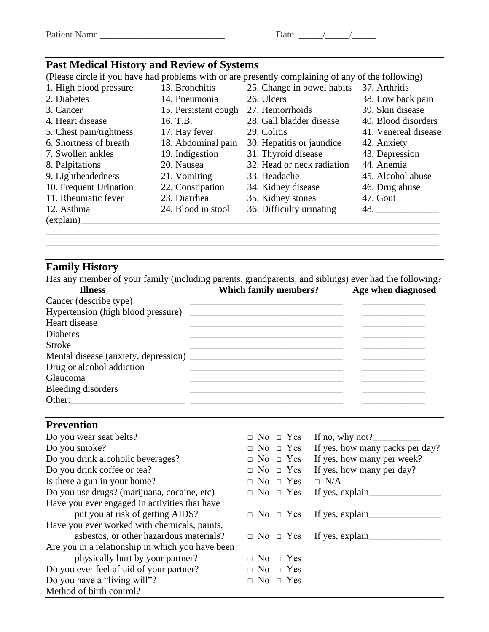| $\mathbf{r}$<br>◡<br>.<br>ъ. | $-$<br>. |
|------------------------------|----------|
|------------------------------|----------|

## **Past Medical History and Review of Systems**

(Please circle if you have had problems with or are presently complaining of any of the following)

| 1. High blood pressure  | 13. Bronchitis       | 25. Change in bowel habits | 37. Arthritis        |
|-------------------------|----------------------|----------------------------|----------------------|
| 2. Diabetes             | 14. Pneumonia        | 26. Ulcers                 | 38. Low back pain    |
| 3. Cancer               | 15. Persistent cough | 27. Hemorrhoids            | 39. Skin disease     |
| 4. Heart disease        | 16. T.B.             | 28. Gall bladder disease   | 40. Blood disorders  |
| 5. Chest pain/tightness | 17. Hay fever        | 29. Colitis                | 41. Venereal disease |
| 6. Shortness of breath  | 18. Abdominal pain   | 30. Hepatitis or jaundice  | 42. Anxiety          |
| 7. Swollen ankles       | 19. Indigestion      | 31. Thyroid disease        | 43. Depression       |
| 8. Palpitations         | 20. Nausea           | 32. Head or neck radiation | 44. Anemia           |
| 9. Lightheadedness      | 21. Vomiting         | 33. Headache               | 45. Alcohol abuse    |
| 10. Frequent Urination  | 22. Constipation     | 34. Kidney disease         | 46. Drug abuse       |
| 11. Rheumatic fever     | 23. Diarrhea         | 35. Kidney stones          | 47. Gout             |
| 12. Asthma              | 24. Blood in stool   | 36. Difficulty urinating   | 48.                  |
| (explain)               |                      |                            |                      |
|                         |                      |                            |                      |

## **Family History**

Has any member of your family (including parents, grandparents, and siblings) ever had the following?

\_\_\_\_\_\_\_\_\_\_\_\_\_\_\_\_\_\_\_\_\_\_\_\_\_\_\_\_\_\_\_\_\_\_\_\_\_\_\_\_\_\_\_\_\_\_\_\_\_\_\_\_\_\_\_\_\_\_\_\_\_\_\_\_\_\_\_\_\_\_\_\_\_\_\_\_\_\_\_\_\_\_

| <b>Illness</b>            | <b>Which family members?</b> | Age when diagnosed |
|---------------------------|------------------------------|--------------------|
| Cancer (describe type)    |                              |                    |
|                           |                              |                    |
| Heart disease             |                              |                    |
| <b>Diabetes</b>           |                              |                    |
| <b>Stroke</b>             |                              |                    |
|                           |                              |                    |
| Drug or alcohol addiction |                              |                    |
| <b>Glaucoma</b>           |                              |                    |
| Bleeding disorders        |                              |                    |
| Other:                    |                              |                    |

## **Prevention**

| Do you wear seat belts?                          | $\Box$ No $\Box$ Yes | If no, why not?                      |
|--------------------------------------------------|----------------------|--------------------------------------|
| Do you smoke?                                    | $\Box$ No $\Box$ Yes | If yes, how many packs per day?      |
| Do you drink alcoholic beverages?                | $\Box$ No $\Box$ Yes | If yes, how many per week?           |
| Do you drink coffee or tea?                      | $\Box$ No $\Box$ Yes | If yes, how many per day?            |
| Is there a gun in your home?                     | $\Box$ No $\Box$ Yes | $\Box$ N/A                           |
| Do you use drugs? (marijuana, cocaine, etc)      | $\Box$ No $\Box$ Yes | If yes, explain_                     |
| Have you ever engaged in activities that have    |                      |                                      |
| put you at risk of getting AIDS?                 |                      | $\Box$ No $\Box$ Yes If yes, explain |
| Have you ever worked with chemicals, paints,     |                      |                                      |
| asbestos, or other hazardous materials?          |                      | $\Box$ No $\Box$ Yes If yes, explain |
| Are you in a relationship in which you have been |                      |                                      |
| physically hurt by your partner?                 | $\Box$ No $\Box$ Yes |                                      |
| Do you ever feel afraid of your partner?         | $\Box$ No $\Box$ Yes |                                      |
| Do you have a "living will"?                     | $\Box$ No $\Box$ Yes |                                      |
| Method of birth control?                         |                      |                                      |